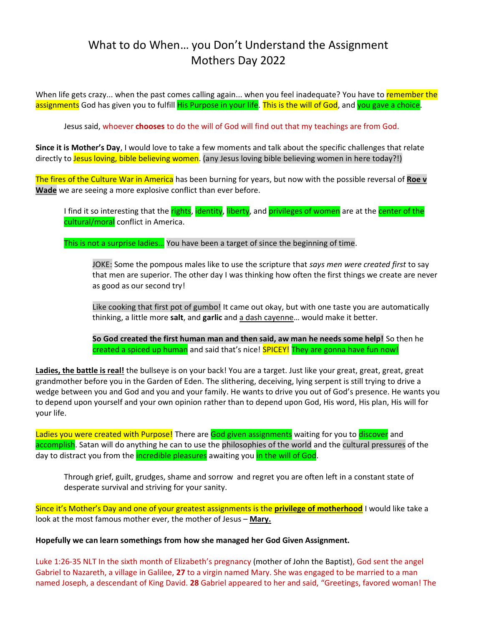# What to do When… you Don't Understand the Assignment Mothers Day 2022

When life gets crazy... when the past comes calling again... when you feel inadequate? You have to remember the assignments God has given you to fulfill His Purpose in your life. This is the will of God, and you gave a choice.

Jesus said, whoever **chooses** to do the will of God will find out that my teachings are from God.

**Since it is Mother's Day**, I would love to take a few moments and talk about the specific challenges that relate directly to Jesus loving, bible believing women. (any Jesus loving bible believing women in here today?!)

The fires of the Culture War in America has been burning for years, but now with the possible reversal of **Roe v Wade** we are seeing a more explosive conflict than ever before.

I find it so interesting that the rights, identity, liberty, and privileges of women are at the center of the cultural/moral conflict in America.

This is not a surprise ladies... You have been a target of since the beginning of time.

JOKE: Some the pompous males like to use the scripture that *says men were created first* to say that men are superior. The other day I was thinking how often the first things we create are never as good as our second try!

Like cooking that first pot of gumbo! It came out okay, but with one taste you are automatically thinking, a little more **salt**, and **garlic** and a dash cayenne… would make it better.

**So God created the first human man and then said, aw man he needs some help!** So then he created a spiced up human and said that's nice! SPICEY! They are gonna have fun now!

**Ladies, the battle is real!** the bullseye is on your back! You are a target. Just like your great, great, great, great grandmother before you in the Garden of Eden. The slithering, deceiving, lying serpent is still trying to drive a wedge between you and God and you and your family. He wants to drive you out of God's presence. He wants you to depend upon yourself and your own opinion rather than to depend upon God, His word, His plan, His will for your life.

Ladies you were created with Purpose! There are God given assignments waiting for you to discover and accomplish. Satan will do anything he can to use the philosophies of the world and the cultural pressures of the day to distract you from the **incredible pleasures** awaiting you in the will of God.

Through grief, guilt, grudges, shame and sorrow and regret you are often left in a constant state of desperate survival and striving for your sanity.

Since it's Mother's Day and one of your greatest assignments is the **privilege of motherhood** I would like take a look at the most famous mother ever, the mother of Jesus – **Mary.**

### **Hopefully we can learn somethings from how she managed her God Given Assignment.**

Luke 1:26-35 NLT In the sixth month of Elizabeth's pregnancy (mother of John the Baptist), God sent the angel Gabriel to Nazareth, a village in Galilee, **27** to a virgin named Mary. She was engaged to be married to a man named Joseph, a descendant of King David. **28** Gabriel appeared to her and said, "Greetings, favored woman! The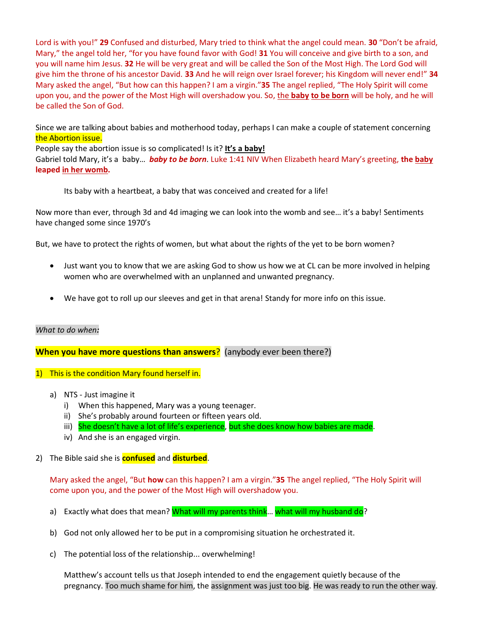Lord is with you!" **29** Confused and disturbed, Mary tried to think what the angel could mean. **30** "Don't be afraid, Mary," the angel told her, "for you have found favor with God! **31** You will conceive and give birth to a son, and you will name him Jesus. **32** He will be very great and will be called the Son of the Most High. The Lord God will give him the throne of his ancestor David. **33** And he will reign over Israel forever; his Kingdom will never end!" **34**  Mary asked the angel, "But how can this happen? I am a virgin."**35** The angel replied, "The Holy Spirit will come upon you, and the power of the Most High will overshadow you. So, the **baby to be born** will be holy, and he will be called the Son of God.

Since we are talking about babies and motherhood today, perhaps I can make a couple of statement concerning the Abortion issue.

People say the abortion issue is so complicated! Is it? **It's a baby!** Gabriel told Mary, it's a baby… *baby to be born*. Luke 1:41 NIV When Elizabeth heard Mary's greeting, **the baby leaped in her womb.**

Its baby with a heartbeat, a baby that was conceived and created for a life!

Now more than ever, through 3d and 4d imaging we can look into the womb and see… it's a baby! Sentiments have changed some since 1970's

But, we have to protect the rights of women, but what about the rights of the yet to be born women?

- Just want you to know that we are asking God to show us how we at CL can be more involved in helping women who are overwhelmed with an unplanned and unwanted pregnancy.
- We have got to roll up our sleeves and get in that arena! Standy for more info on this issue.

## *What to do when:*

# **When you have more questions than answers**? (anybody ever been there?)

- 1) This is the condition Mary found herself in.
	- a) NTS Just imagine it
		- i) When this happened, Mary was a young teenager.
		- ii) She's probably around fourteen or fifteen years old.
		- iii) She doesn't have a lot of life's experience, but she does know how babies are made.
		- iv) And she is an engaged virgin.

## 2) The Bible said she is **confused** and **disturbed**.

Mary asked the angel, "But **how** can this happen? I am a virgin."**35** The angel replied, "The Holy Spirit will come upon you, and the power of the Most High will overshadow you.

- a) Exactly what does that mean? What will my parents think... what will my husband do?
- b) God not only allowed her to be put in a compromising situation he orchestrated it.
- c) The potential loss of the relationship... overwhelming!

Matthew's account tells us that Joseph intended to end the engagement quietly because of the pregnancy. Too much shame for him, the assignment was just too big. He was ready to run the other way.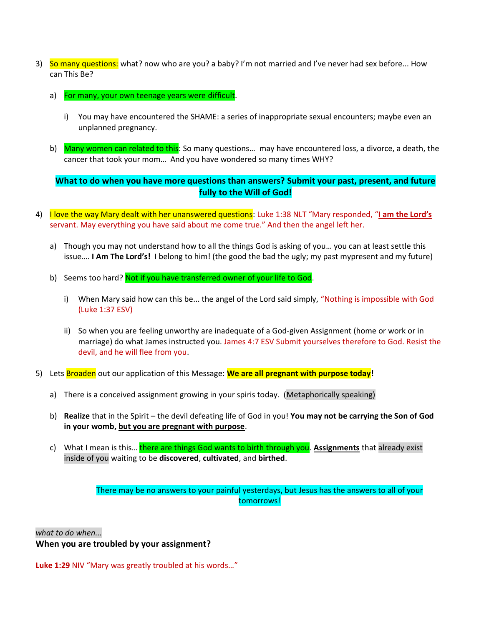- 3) So many questions: what? now who are you? a baby? I'm not married and I've never had sex before... How can This Be?
	- a) For many, your own teenage years were difficult.
		- i) You may have encountered the SHAME: a series of inappropriate sexual encounters; maybe even an unplanned pregnancy.
	- b) Many women can related to this: So many questions... may have encountered loss, a divorce, a death, the cancer that took your mom… And you have wondered so many times WHY?

**What to do when you have more questions than answers? Submit your past, present, and future fully to the Will of God!**

- 4) I love the way Mary dealt with her unanswered questions: Luke 1:38 NLT "Mary responded, "**I am the Lord's** servant. May everything you have said about me come true." And then the angel left her.
	- a) Though you may not understand how to all the things God is asking of you… you can at least settle this issue…. **I Am The Lord's!** I belong to him! (the good the bad the ugly; my past mypresent and my future)
	- b) Seems too hard? Not if you have transferred owner of your life to God.
		- i) When Mary said how can this be... the angel of the Lord said simply, "Nothing is impossible with God (Luke 1:37 ESV)
		- ii) So when you are feeling unworthy are inadequate of a God-given Assignment (home or work or in marriage) do what James instructed you. James 4:7 ESV Submit yourselves therefore to God. Resist the devil, and he will flee from you.
- 5) Lets Broaden out our application of this Message: **We are all pregnant with purpose today!**
	- a) There is a conceived assignment growing in your spiris today. (Metaphorically speaking)
	- b) **Realize** that in the Spirit the devil defeating life of God in you! **You may not be carrying the Son of God in your womb, but you are pregnant with purpose**.
	- c) What I mean is this… there are things God wants to birth through you. **Assignments** that already exist inside of you waiting to be **discovered**, **cultivated**, and **birthed**.

There may be no answers to your painful yesterdays, but Jesus has the answers to all of your tomorrows!

*what to do when...*

**When you are troubled by your assignment?**

**Luke 1:29** NIV "Mary was greatly troubled at his words…"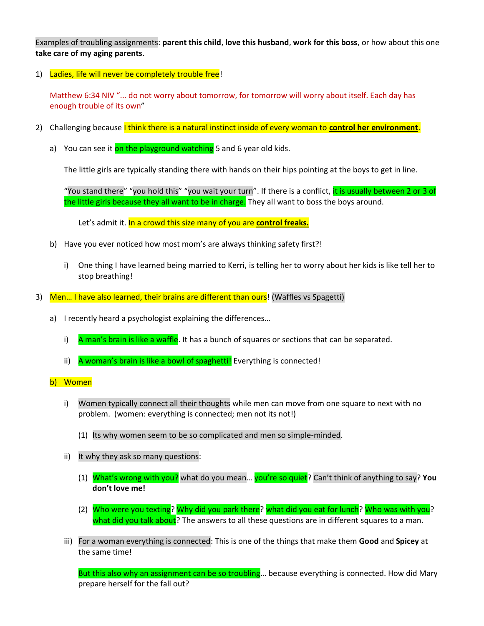Examples of troubling assignments: **parent this child**, **love this husband**, **work for this boss**, or how about this one **take care of my aging parents**.

1) Ladies, life will never be completely trouble free!

Matthew 6:34 NIV "... do not worry about tomorrow, for tomorrow will worry about itself. Each day has enough trouble of its own"

- 2) Challenging because I think there is a natural instinct inside of every woman to **control her environment**.
	- a) You can see it on the playground watching 5 and 6 year old kids.

The little girls are typically standing there with hands on their hips pointing at the boys to get in line.

"You stand there" "you hold this" "you wait your turn". If there is a conflict, it is usually between 2 or 3 of the little girls because they all want to be in charge. They all want to boss the boys around.

Let's admit it. In a crowd this size many of you are **control freaks.**

- b) Have you ever noticed how most mom's are always thinking safety first?!
	- i) One thing I have learned being married to Kerri, is telling her to worry about her kids is like tell her to stop breathing!
- 3) Men... I have also learned, their brains are different than ours! (Waffles vs Spagetti)
	- a) I recently heard a psychologist explaining the differences…
		- i) A man's brain is like a waffle. It has a bunch of squares or sections that can be separated.
		- ii) A woman's brain is like a bowl of spaghetti! Everything is connected!
	- b) Women
		- i) Women typically connect all their thoughts while men can move from one square to next with no problem. (women: everything is connected; men not its not!)
			- (1) Its why women seem to be so complicated and men so simple-minded.
		- ii) It why they ask so many questions:
			- (1) What's wrong with you? what do you mean… you're so quiet? Can't think of anything to say? **You don't love me!**
			- (2) Who were you texting? Why did you park there? what did you eat for lunch? Who was with you? what did you talk about? The answers to all these questions are in different squares to a man.
		- iii) For a woman everything is connected: This is one of the things that make them **Good** and **Spicey** at the same time!

But this also why an assignment can be so troubling... because everything is connected. How did Mary prepare herself for the fall out?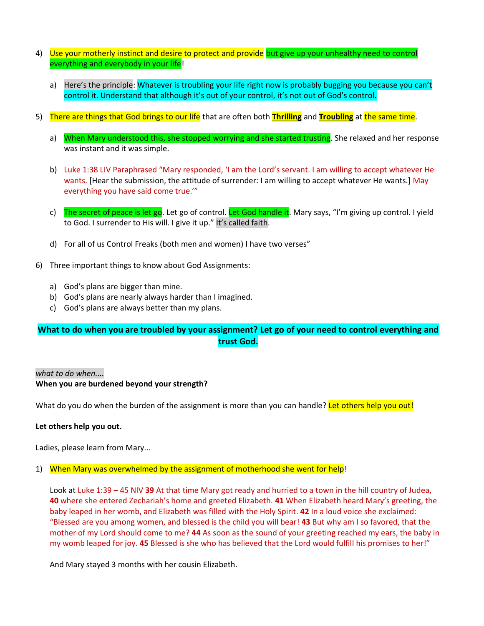- 4) Use your motherly instinct and desire to protect and provide but give up your unhealthy need to control everything and everybody in your life!
	- a) Here's the principle: Whatever is troubling your life right now is probably bugging you because you can't control it. Understand that although it's out of your control, it's not out of God's control.
- 5) There are things that God brings to our life that are often both **Thrilling** and **Troubling** at the same time.
	- a) When Mary understood this, she stopped worrying and she started trusting. She relaxed and her response was instant and it was simple.
	- b) Luke 1:38 LIV Paraphrased "Mary responded, 'I am the Lord's servant. I am willing to accept whatever He wants. [Hear the submission, the attitude of surrender: I am willing to accept whatever He wants.] May everything you have said come true.'"
	- c) The secret of peace is let go. Let go of control. Let God handle it. Mary says, "I'm giving up control. I yield to God. I surrender to His will. I give it up." It's called faith.
	- d) For all of us Control Freaks (both men and women) I have two verses"
- 6) Three important things to know about God Assignments:
	- a) God's plans are bigger than mine.
	- b) God's plans are nearly always harder than I imagined.
	- c) God's plans are always better than my plans.

# **What to do when you are troubled by your assignment? Let go of your need to control everything and trust God.**

### *what to do when....*

### **When you are burdened beyond your strength?**

What do you do when the burden of the assignment is more than you can handle? Let others help you out!

### **Let others help you out.**

Ladies, please learn from Mary...

### 1) When Mary was overwhelmed by the assignment of motherhood she went for help!

Look at Luke 1:39 – 45 NIV **39** At that time Mary got ready and hurried to a town in the hill country of Judea, **40** where she entered Zechariah's home and greeted Elizabeth. **41** When Elizabeth heard Mary's greeting, the baby leaped in her womb, and Elizabeth was filled with the Holy Spirit. **42** In a loud voice she exclaimed: "Blessed are you among women, and blessed is the child you will bear! **43** But why am I so favored, that the mother of my Lord should come to me? **44** As soon as the sound of your greeting reached my ears, the baby in my womb leaped for joy. **45** Blessed is she who has believed that the Lord would fulfill his promises to her!"

And Mary stayed 3 months with her cousin Elizabeth.